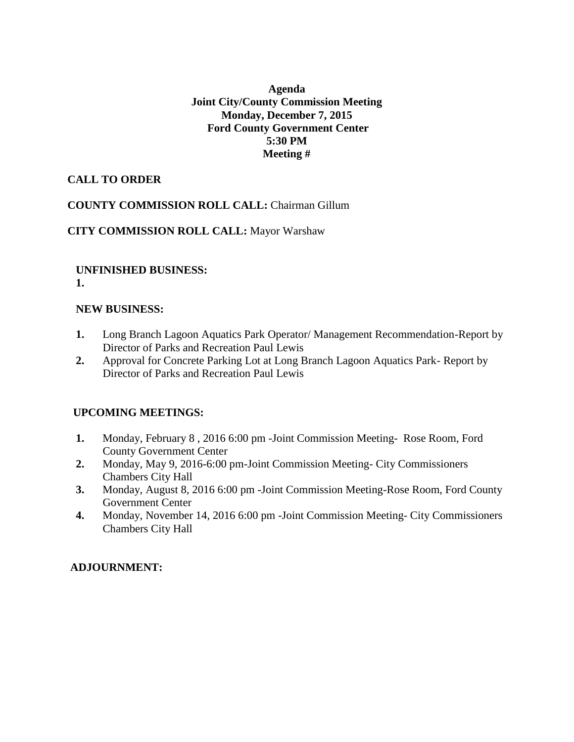#### **Agenda Joint City/County Commission Meeting Monday, December 7, 2015 Ford County Government Center 5:30 PM Meeting #**

#### **CALL TO ORDER**

#### **COUNTY COMMISSION ROLL CALL:** Chairman Gillum

#### **CITY COMMISSION ROLL CALL:** Mayor Warshaw

#### **UNFINISHED BUSINESS: 1.**

#### **NEW BUSINESS:**

- **1.** Long Branch Lagoon Aquatics Park Operator/ Management Recommendation-Report by Director of Parks and Recreation Paul Lewis
- **2.** Approval for Concrete Parking Lot at Long Branch Lagoon Aquatics Park- Report by Director of Parks and Recreation Paul Lewis

#### **UPCOMING MEETINGS:**

- **1.** Monday, February 8 , 2016 6:00 pm -Joint Commission Meeting- Rose Room, Ford County Government Center
- **2.** Monday, May 9, 2016-6:00 pm-Joint Commission Meeting- City Commissioners Chambers City Hall
- **3.** Monday, August 8, 2016 6:00 pm -Joint Commission Meeting-Rose Room, Ford County Government Center
- **4.** Monday, November 14, 2016 6:00 pm -Joint Commission Meeting- City Commissioners Chambers City Hall

#### **ADJOURNMENT:**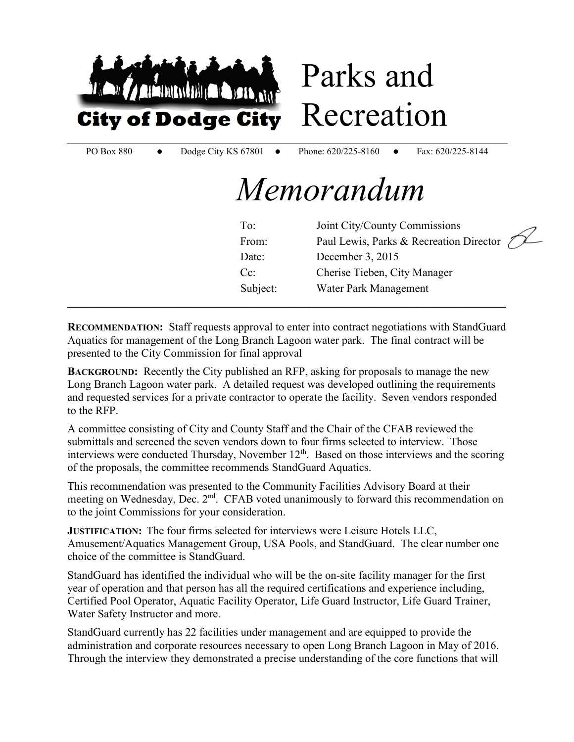

**RECOMMENDATION:** Staff requests approval to enter into contract negotiations with StandGuard Aquatics for management of the Long Branch Lagoon water park. The final contract will be presented to the City Commission for final approval

**\_\_\_\_\_\_\_\_\_\_\_\_\_\_\_\_\_\_\_\_\_\_\_\_\_\_\_\_\_\_\_\_\_\_\_\_\_\_\_\_\_\_\_\_\_\_\_\_\_\_\_\_\_\_\_\_\_\_\_\_\_\_\_\_\_\_\_\_\_\_\_\_\_\_\_\_\_\_** 

Subject: Water Park Management

**BACKGROUND:** Recently the City published an RFP, asking for proposals to manage the new Long Branch Lagoon water park. A detailed request was developed outlining the requirements and requested services for a private contractor to operate the facility. Seven vendors responded to the RFP.

A committee consisting of City and County Staff and the Chair of the CFAB reviewed the submittals and screened the seven vendors down to four firms selected to interview. Those interviews were conducted Thursday, November  $12<sup>th</sup>$ . Based on those interviews and the scoring of the proposals, the committee recommends StandGuard Aquatics.

This recommendation was presented to the Community Facilities Advisory Board at their meeting on Wednesday, Dec. 2<sup>nd</sup>. CFAB voted unanimously to forward this recommendation on to the joint Commissions for your consideration.

**JUSTIFICATION:** The four firms selected for interviews were Leisure Hotels LLC, Amusement/Aquatics Management Group, USA Pools, and StandGuard. The clear number one choice of the committee is StandGuard.

StandGuard has identified the individual who will be the on-site facility manager for the first year of operation and that person has all the required certifications and experience including, Certified Pool Operator, Aquatic Facility Operator, Life Guard Instructor, Life Guard Trainer, Water Safety Instructor and more.

StandGuard currently has 22 facilities under management and are equipped to provide the administration and corporate resources necessary to open Long Branch Lagoon in May of 2016. Through the interview they demonstrated a precise understanding of the core functions that will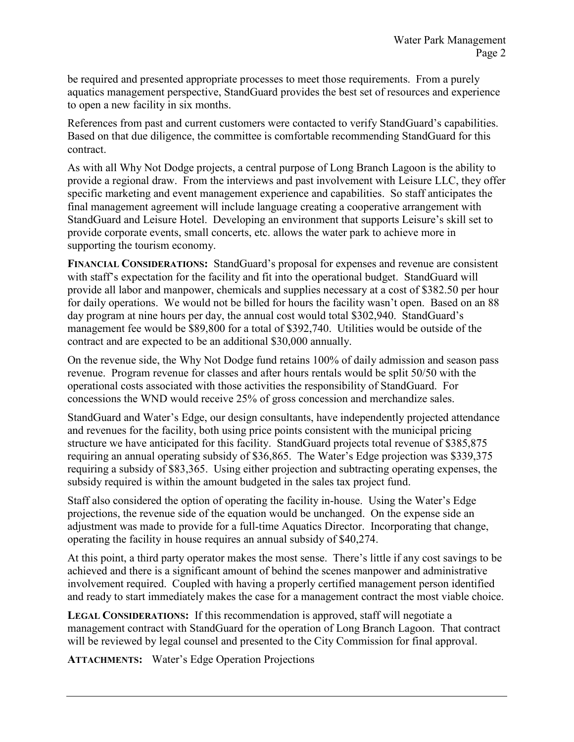be required and presented appropriate processes to meet those requirements. From a purely aquatics management perspective, StandGuard provides the best set of resources and experience to open a new facility in six months.

References from past and current customers were contacted to verify StandGuard's capabilities. Based on that due diligence, the committee is comfortable recommending StandGuard for this contract.

As with all Why Not Dodge projects, a central purpose of Long Branch Lagoon is the ability to provide a regional draw. From the interviews and past involvement with Leisure LLC, they offer specific marketing and event management experience and capabilities. So staff anticipates the final management agreement will include language creating a cooperative arrangement with StandGuard and Leisure Hotel. Developing an environment that supports Leisure's skill set to provide corporate events, small concerts, etc. allows the water park to achieve more in supporting the tourism economy.

**FINANCIAL CONSIDERATIONS:** StandGuard's proposal for expenses and revenue are consistent with staff's expectation for the facility and fit into the operational budget. StandGuard will provide all labor and manpower, chemicals and supplies necessary at a cost of \$382.50 per hour for daily operations. We would not be billed for hours the facility wasn't open. Based on an 88 day program at nine hours per day, the annual cost would total \$302,940. StandGuard's management fee would be \$89,800 for a total of \$392,740. Utilities would be outside of the contract and are expected to be an additional \$30,000 annually.

On the revenue side, the Why Not Dodge fund retains 100% of daily admission and season pass revenue. Program revenue for classes and after hours rentals would be split 50/50 with the operational costs associated with those activities the responsibility of StandGuard. For concessions the WND would receive 25% of gross concession and merchandize sales.

StandGuard and Water's Edge, our design consultants, have independently projected attendance and revenues for the facility, both using price points consistent with the municipal pricing structure we have anticipated for this facility. StandGuard projects total revenue of \$385,875 requiring an annual operating subsidy of \$36,865. The Water's Edge projection was \$339,375 requiring a subsidy of \$83,365. Using either projection and subtracting operating expenses, the subsidy required is within the amount budgeted in the sales tax project fund.

Staff also considered the option of operating the facility in-house. Using the Water's Edge projections, the revenue side of the equation would be unchanged. On the expense side an adjustment was made to provide for a full-time Aquatics Director. Incorporating that change, operating the facility in house requires an annual subsidy of \$40,274.

At this point, a third party operator makes the most sense. There's little if any cost savings to be achieved and there is a significant amount of behind the scenes manpower and administrative involvement required. Coupled with having a properly certified management person identified and ready to start immediately makes the case for a management contract the most viable choice.

**LEGAL CONSIDERATIONS:** If this recommendation is approved, staff will negotiate a management contract with StandGuard for the operation of Long Branch Lagoon. That contract will be reviewed by legal counsel and presented to the City Commission for final approval.

**ATTACHMENTS:** Water's Edge Operation Projections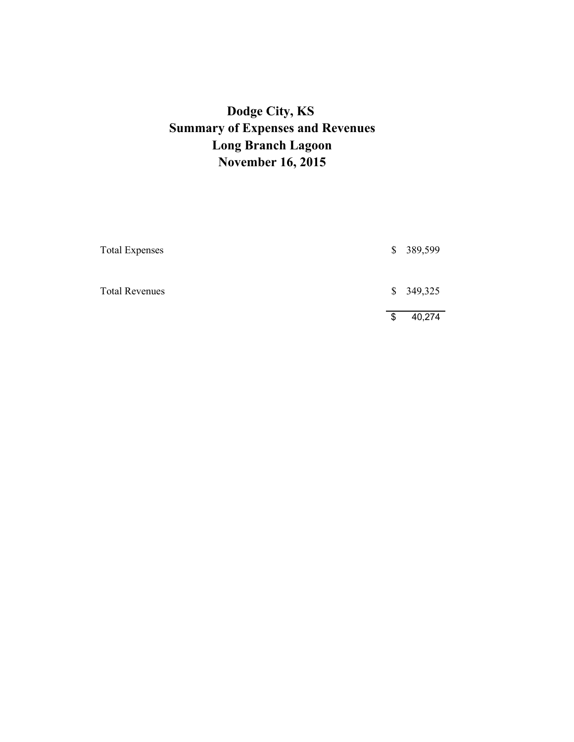# **Dodge City, KS Summary of Expenses and Revenues Long Branch Lagoon November 16, 2015**

| <b>Total Expenses</b> | \$ 389,599   |
|-----------------------|--------------|
| <b>Total Revenues</b> | \$349,325    |
|                       | \$<br>40,274 |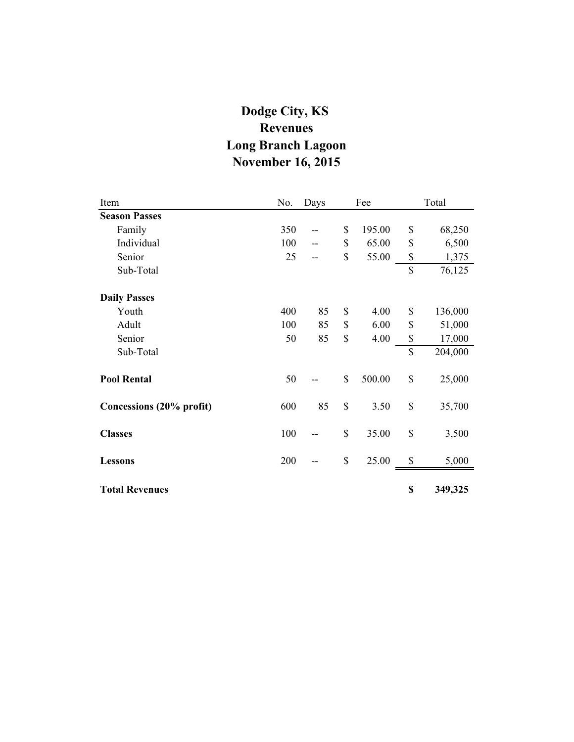# **Dodge City, KS Revenues Long Branch Lagoon November 16, 2015**

| Item                     | No. | Days | Fee |        | Total         |
|--------------------------|-----|------|-----|--------|---------------|
| <b>Season Passes</b>     |     |      |     |        |               |
| Family                   | 350 |      | \$  | 195.00 | \$<br>68,250  |
| Individual               | 100 |      | \$  | 65.00  | \$<br>6,500   |
| Senior                   | 25  |      | \$  | 55.00  | \$<br>1,375   |
| Sub-Total                |     |      |     |        | \$<br>76,125  |
| <b>Daily Passes</b>      |     |      |     |        |               |
| Youth                    | 400 | 85   | \$  | 4.00   | \$<br>136,000 |
| Adult                    | 100 | 85   | \$  | 6.00   | \$<br>51,000  |
| Senior                   | 50  | 85   | \$  | 4.00   | \$<br>17,000  |
| Sub-Total                |     |      |     |        | \$<br>204,000 |
| <b>Pool Rental</b>       | 50  |      | \$  | 500.00 | \$<br>25,000  |
| Concessions (20% profit) | 600 | 85   | \$  | 3.50   | \$<br>35,700  |
| <b>Classes</b>           | 100 |      | \$  | 35.00  | \$<br>3,500   |
| <b>Lessons</b>           | 200 |      | \$  | 25.00  | \$<br>5,000   |
| <b>Total Revenues</b>    |     |      |     |        | \$<br>349,325 |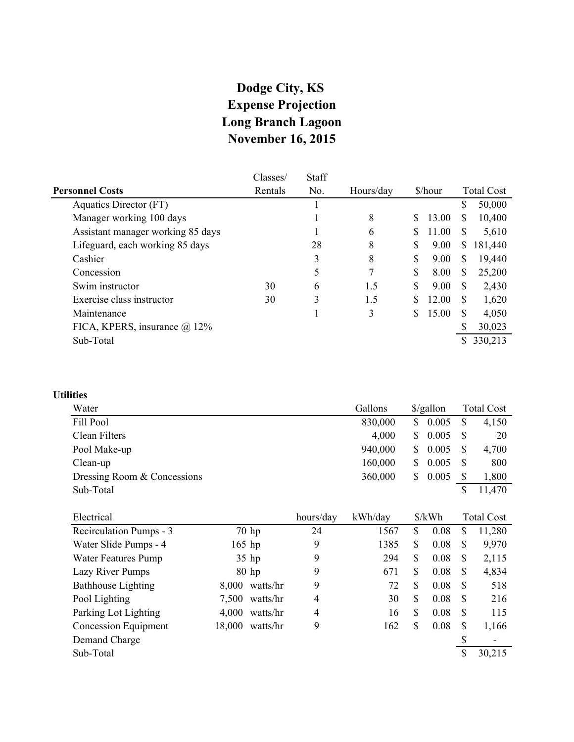### **Dodge City, KS Expense Projection Long Branch Lagoon November 16, 2015**

|                                   | Classes/ | Staff |           |    |         |               |                   |
|-----------------------------------|----------|-------|-----------|----|---------|---------------|-------------------|
| <b>Personnel Costs</b>            | Rentals  | No.   | Hours/day |    | \$/hour |               | <b>Total Cost</b> |
| Aquatics Director (FT)            |          |       |           |    |         | \$            | 50,000            |
| Manager working 100 days          |          |       | 8         |    | 13.00   | <sup>\$</sup> | 10,400            |
| Assistant manager working 85 days |          |       | 6         |    | 11.00   | <sup>\$</sup> | 5,610             |
| Lifeguard, each working 85 days   |          | 28    | 8         | \$ | 9.00    | S             | 181,440           |
| Cashier                           |          | 3     | 8         | \$ | 9.00    | S             | 19,440            |
| Concession                        |          | 5     | 7         | S  | 8.00    | S             | 25,200            |
| Swim instructor                   | 30       | 6     | 1.5       | S  | 9.00    | <b>S</b>      | 2,430             |
| Exercise class instructor         | 30       | 3     | 1.5       |    | 12.00   | <b>S</b>      | 1,620             |
| Maintenance                       |          |       | 3         |    | 15.00   |               | 4,050             |
| FICA, KPERS, insurance @ 12%      |          |       |           |    |         |               | 30,023            |
| Sub-Total                         |          |       |           |    |         |               | 330,213           |
|                                   |          |       |           |    |         |               |                   |

#### **Utilities**

| Water                       |          |          |           | Gallons | \$/gallon            | <b>Total Cost</b> |
|-----------------------------|----------|----------|-----------|---------|----------------------|-------------------|
| Fill Pool                   |          |          |           | 830,000 | \$<br>0.005          | \$<br>4,150       |
| Clean Filters               |          |          |           | 4,000   | \$<br>0.005          | \$<br>20          |
| Pool Make-up                |          |          |           | 940,000 | \$<br>0.005          | \$<br>4,700       |
| Clean-up                    |          |          |           | 160,000 | \$<br>0.005          | \$<br>800         |
| Dressing Room & Concessions |          |          |           | 360,000 | \$<br>0.005          | \$<br>1,800       |
| Sub-Total                   |          |          |           |         |                      | \$<br>11,470      |
|                             |          |          |           |         |                      |                   |
| Electrical                  |          |          | hours/day | kWh/day | $\frac{\sqrt{2}}{2}$ | <b>Total Cost</b> |
| Recirculation Pumps - 3     | $70$ hp  |          | 24        | 1567    | \$<br>0.08           | \$<br>11,280      |
| Water Slide Pumps - 4       | $165$ hp |          | 9         | 1385    | \$<br>0.08           | \$<br>9,970       |
| <b>Water Features Pump</b>  | $35$ hp  |          | 9         | 294     | \$<br>0.08           | \$<br>2,115       |
| Lazy River Pumps            | $80$ hp  |          | 9         | 671     | \$<br>0.08           | \$<br>4,834       |
| <b>Bathhouse Lighting</b>   | 8,000    | watts/hr | 9         | 72      | \$<br>0.08           | \$<br>518         |
| Pool Lighting               | 7,500    | watts/hr | 4         | 30      | \$<br>0.08           | \$<br>216         |
| Parking Lot Lighting        | 4,000    | watts/hr | 4         | 16      | \$<br>0.08           | \$<br>115         |
| <b>Concession Equipment</b> | 18,000   | watts/hr | 9         | 162     | \$<br>0.08           | \$<br>1,166       |
| Demand Charge               |          |          |           |         |                      | \$                |
| Sub-Total                   |          |          |           |         |                      | \$<br>30,215      |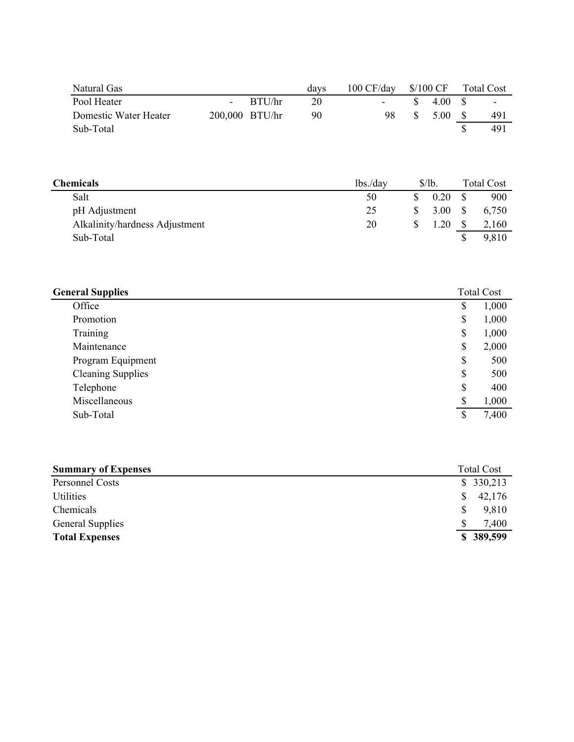| Natural Gas                    |                |                | days | 100 CF/day | $$/100$ CF |      | <b>Total Cost</b> |
|--------------------------------|----------------|----------------|------|------------|------------|------|-------------------|
| Pool Heater                    | $\blacksquare$ | BTU/hr         | 20   | -          | \$<br>4.00 | \$   | -                 |
| Domestic Water Heater          |                | 200,000 BTU/hr | 90   | 98         | \$<br>5.00 | - \$ | 491               |
| Sub-Total                      |                |                |      |            |            | \$   | 491               |
|                                |                |                |      |            |            |      |                   |
|                                |                |                |      |            |            |      |                   |
|                                |                |                |      |            |            |      |                   |
| <b>Chemicals</b>               |                |                |      | lbs./day   | \$/lb.     |      | <b>Total Cost</b> |
|                                |                |                |      |            |            |      |                   |
| Salt                           |                |                |      | 50         | \$<br>0.20 | S    | 900               |
| pH Adjustment                  |                |                |      | 25         | \$<br>3.00 | S    | 6,750             |
| Alkalinity/hardness Adjustment |                |                |      | 20         | \$<br>1.20 | -S   | 2,160             |
| Sub-Total                      |                |                |      |            |            | \$   | 9,810             |
|                                |                |                |      |            |            |      |                   |

| <b>General Supplies</b>  | <b>Total Cost</b> |
|--------------------------|-------------------|
| Office                   | \$<br>1,000       |
| Promotion                | \$<br>1,000       |
| Training                 | \$<br>1,000       |
| Maintenance              | \$<br>2,000       |
| Program Equipment        | \$<br>500         |
| <b>Cleaning Supplies</b> | \$<br>500         |
| Telephone                | \$<br>400         |
| Miscellaneous            | \$<br>1,000       |
| Sub-Total                | \$<br>7,400       |

| <b>Summary of Expenses</b> |   | <b>Total Cost</b> |
|----------------------------|---|-------------------|
| Personnel Costs            |   | \$330,213         |
| Utilities                  | S | 42,176            |
| Chemicals                  |   | 9,810             |
| <b>General Supplies</b>    |   | 7,400             |
| <b>Total Expenses</b>      |   | \$389,599         |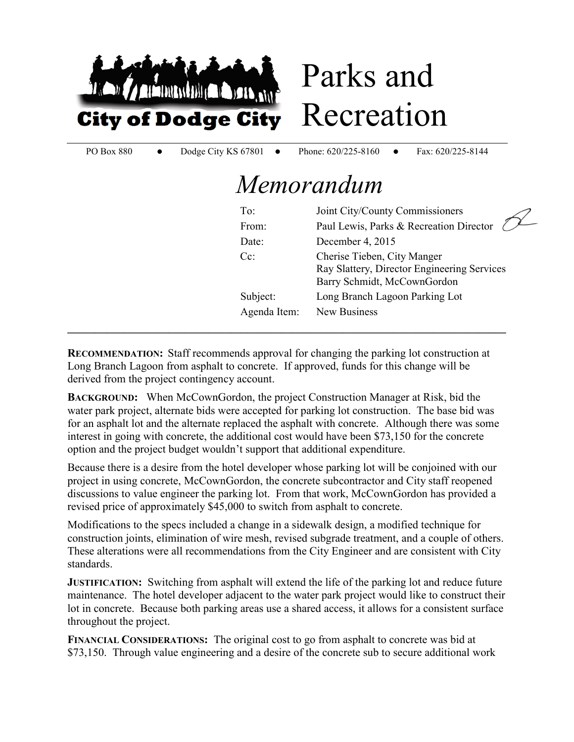

# Parks and Recreation

PO Box 880 • Dodge City KS 67801 • Phone: 620/225-8160 • Fax: 620/225-8144

# *Memorandum*

| To:          | Joint City/County Commissioners                                                                           |
|--------------|-----------------------------------------------------------------------------------------------------------|
| From:        | Paul Lewis, Parks & Recreation Director                                                                   |
| Date:        | December 4, 2015                                                                                          |
| $Cc$ :       | Cherise Tieben, City Manger<br>Ray Slattery, Director Engineering Services<br>Barry Schmidt, McCownGordon |
| Subject:     | Long Branch Lagoon Parking Lot                                                                            |
| Agenda Item: | New Business                                                                                              |
|              |                                                                                                           |

**RECOMMENDATION:** Staff recommends approval for changing the parking lot construction at Long Branch Lagoon from asphalt to concrete. If approved, funds for this change will be derived from the project contingency account.

**BACKGROUND:** When McCownGordon, the project Construction Manager at Risk, bid the water park project, alternate bids were accepted for parking lot construction. The base bid was for an asphalt lot and the alternate replaced the asphalt with concrete. Although there was some interest in going with concrete, the additional cost would have been \$73,150 for the concrete option and the project budget wouldn't support that additional expenditure.

Because there is a desire from the hotel developer whose parking lot will be conjoined with our project in using concrete, McCownGordon, the concrete subcontractor and City staff reopened discussions to value engineer the parking lot. From that work, McCownGordon has provided a revised price of approximately \$45,000 to switch from asphalt to concrete.

Modifications to the specs included a change in a sidewalk design, a modified technique for construction joints, elimination of wire mesh, revised subgrade treatment, and a couple of others. These alterations were all recommendations from the City Engineer and are consistent with City standards.

**JUSTIFICATION:** Switching from asphalt will extend the life of the parking lot and reduce future maintenance. The hotel developer adjacent to the water park project would like to construct their lot in concrete. Because both parking areas use a shared access, it allows for a consistent surface throughout the project.

**FINANCIAL CONSIDERATIONS:** The original cost to go from asphalt to concrete was bid at \$73,150. Through value engineering and a desire of the concrete sub to secure additional work